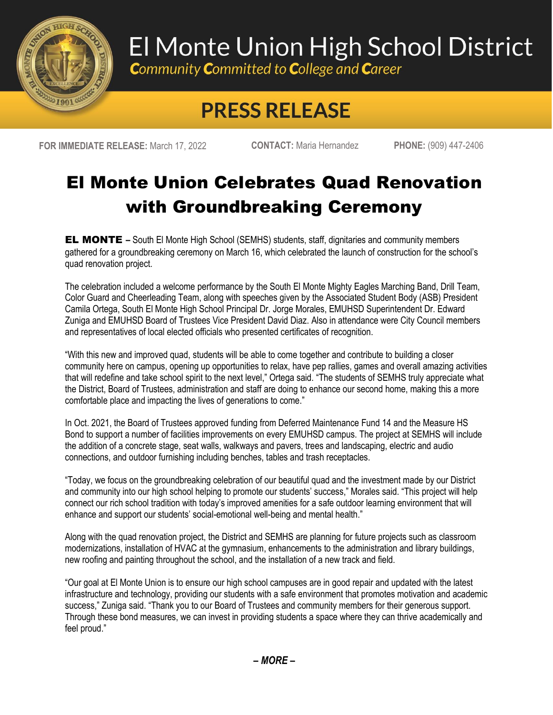

## El Monte Union High School District

**Community Committed to College and Career** 

## **PRESS RELEASE**

**FOR IMMEDIATE RELEASE:** March 17, 2022 **CONTACT:** Maria Hernandez **PHONE:** (909) 447-2406

## El Monte Union Celebrates Quad Renovation with Groundbreaking Ceremony

EL MONTE **–** South El Monte High School (SEMHS) students, staff, dignitaries and community members gathered for a groundbreaking ceremony on March 16, which celebrated the launch of construction for the school's quad renovation project.

The celebration included a welcome performance by the South El Monte Mighty Eagles Marching Band, Drill Team, Color Guard and Cheerleading Team, along with speeches given by the Associated Student Body (ASB) President Camila Ortega, South El Monte High School Principal Dr. Jorge Morales, EMUHSD Superintendent Dr. Edward Zuniga and EMUHSD Board of Trustees Vice President David Diaz. Also in attendance were City Council members and representatives of local elected officials who presented certificates of recognition.

"With this new and improved quad, students will be able to come together and contribute to building a closer community here on campus, opening up opportunities to relax, have pep rallies, games and overall amazing activities that will redefine and take school spirit to the next level," Ortega said. "The students of SEMHS truly appreciate what the District, Board of Trustees, administration and staff are doing to enhance our second home, making this a more comfortable place and impacting the lives of generations to come."

In Oct. 2021, the Board of Trustees approved funding from Deferred Maintenance Fund 14 and the Measure HS Bond to support a number of facilities improvements on every EMUHSD campus. The project at SEMHS will include the addition of a concrete stage, seat walls, walkways and pavers, trees and landscaping, electric and audio connections, and outdoor furnishing including benches, tables and trash receptacles.

"Today, we focus on the groundbreaking celebration of our beautiful quad and the investment made by our District and community into our high school helping to promote our students' success," Morales said. "This project will help connect our rich school tradition with today's improved amenities for a safe outdoor learning environment that will enhance and support our students' social-emotional well-being and mental health."

Along with the quad renovation project, the District and SEMHS are planning for future projects such as classroom modernizations, installation of HVAC at the gymnasium, enhancements to the administration and library buildings, new roofing and painting throughout the school, and the installation of a new track and field.

"Our goal at El Monte Union is to ensure our high school campuses are in good repair and updated with the latest infrastructure and technology, providing our students with a safe environment that promotes motivation and academic success," Zuniga said. "Thank you to our Board of Trustees and community members for their generous support. Through these bond measures, we can invest in providing students a space where they can thrive academically and feel proud."